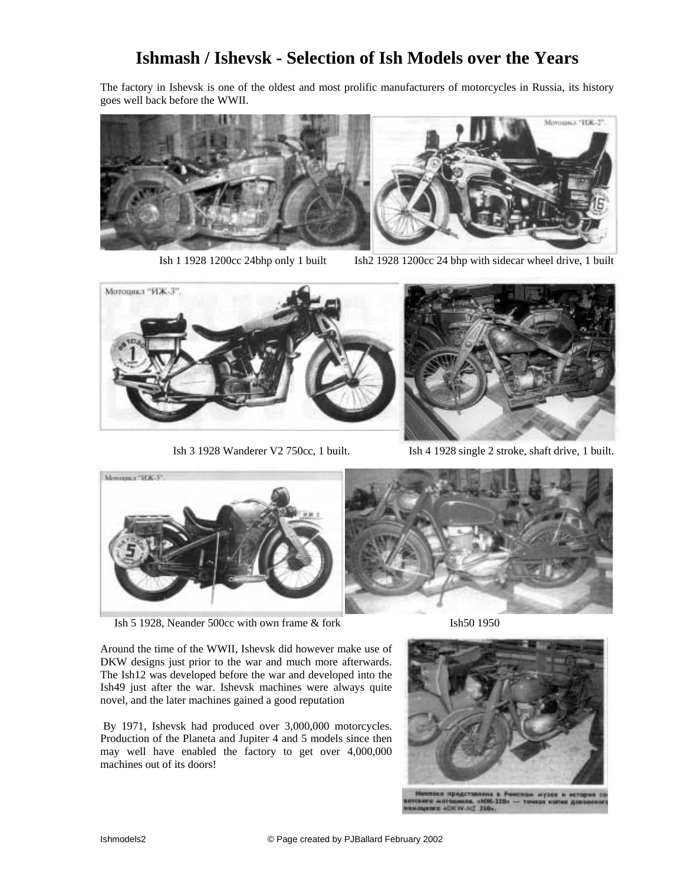## **Ishmash / Ishevsk - Selection of Ish Models over the Years**

The factory in Ishevsk is one of the oldest and most prolific manufacturers of motorcycles in Russia, its history goes well back before the WWII.



Ish 1 1928 1200cc 24bhp only 1 built Ish2 1928 1200cc 24 bhp with sidecar wheel drive, 1 built





Ish 3 1928 Wanderer V2 750cc, 1 built. Ish 4 1928 single 2 stroke, shaft drive, 1 built.



Ish 5 1928, Neander 500cc with own frame & fork Ish50 1950



Around the time of the WWII, Ishevsk did however make use of DKW designs just prior to the war and much more afterwards. The Ish12 was developed before the war and developed into the Ish49 just after the war. Ishevsk machines were always quite novel, and the later machines gained a good reputation

 By 1971, Ishevsk had produced over 3,000,000 motorcycles. Production of the Planeta and Jupiter 4 and 5 models since then may well have enabled the factory to get over 4,000,000 machines out of its doors!



ни музея и исто  $(7, 310)$